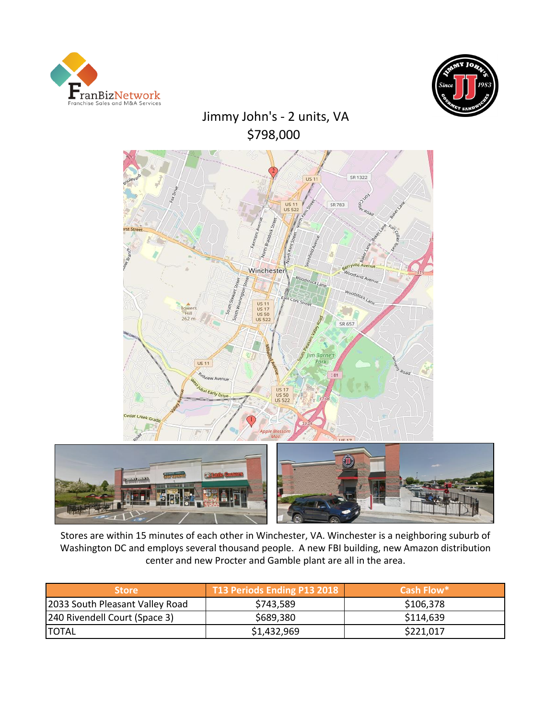



# Jimmy John's - 2 units, VA \$798,000





Stores are within 15 minutes of each other in Winchester, VA. Winchester is a neighboring suburb of Washington DC and employs several thousand people. A new FBI building, new Amazon distribution center and new Procter and Gamble plant are all in the area.

| <b>Store</b>                    | T13 Periods Ending P13 2018 | Cash Flow* |
|---------------------------------|-----------------------------|------------|
| 2033 South Pleasant Valley Road | \$743,589                   | \$106,378  |
| [240 Rivendell Court (Space 3)  | \$689,380                   | \$114,639  |
| <b>ITOTAL</b>                   | \$1,432,969                 | \$221,017  |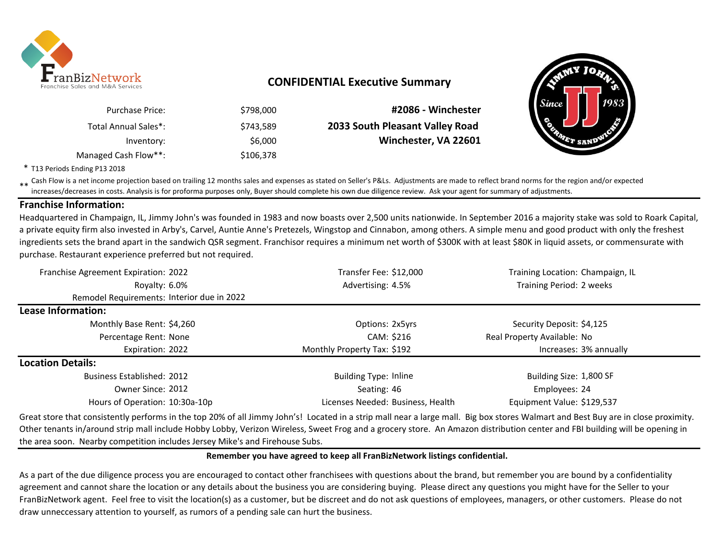

## **CONFIDENTIAL Executive Summary**

| #2086 - Winchester              | \$798,000 | <b>Purchase Price:</b> |
|---------------------------------|-----------|------------------------|
| 2033 South Pleasant Valley Road | \$743.589 | Total Annual Sales*:   |
| Winchester, VA 22601            | \$6,000   | Inventory:             |
|                                 | \$106,378 | Managed Cash Flow**:   |



\* T13 Periods Ending P13 2018

\*\* Cash Flow is a net income projection based on trailing 12 months sales and expenses as stated on Seller's P&Ls. Adjustments are made to reflect brand norms for the region and/or expected in costs. Analysis is for profor increases/decreases in costs. Analysis is for proforma purposes only, Buyer should complete his own due diligence review. Ask your agent for summary of adjustments.

### **Franchise Information:**

Headquartered in Champaign, IL, Jimmy John's was founded in 1983 and now boasts over 2,500 units nationwide. In September 2016 a majority stake was sold to Roark Capital, a private equity firm also invested in Arby's, Carvel, Auntie Anne's Pretezels, Wingstop and Cinnabon, among others. A simple menu and good product with only the freshest ingredients sets the brand apart in the sandwich QSR segment. Franchisor requires a minimum net worth of \$300K with at least \$80K in liquid assets, or commensurate with purchase. Restaurant experience preferred but not required.

| Franchise Agreement Expiration: 2022                                                                                                                                             | Transfer Fee: \$12,000            | Training Location: Champaign, IL |  |
|----------------------------------------------------------------------------------------------------------------------------------------------------------------------------------|-----------------------------------|----------------------------------|--|
| Royalty: 6.0%                                                                                                                                                                    | Advertising: 4.5%                 | Training Period: 2 weeks         |  |
| Remodel Requirements: Interior due in 2022                                                                                                                                       |                                   |                                  |  |
| Lease Information:                                                                                                                                                               |                                   |                                  |  |
| Monthly Base Rent: \$4,260                                                                                                                                                       | Options: 2x5yrs                   | Security Deposit: \$4,125        |  |
| Percentage Rent: None                                                                                                                                                            | CAM: \$216                        | Real Property Available: No      |  |
| Expiration: 2022                                                                                                                                                                 | Monthly Property Tax: \$192       | Increases: 3% annually           |  |
| <b>Location Details:</b>                                                                                                                                                         |                                   |                                  |  |
| <b>Business Established: 2012</b>                                                                                                                                                | <b>Building Type: Inline</b>      | Building Size: 1,800 SF          |  |
| Owner Since: 2012                                                                                                                                                                | Seating: 46                       | Employees: 24                    |  |
| Hours of Operation: 10:30a-10p                                                                                                                                                   | Licenses Needed: Business, Health | Equipment Value: \$129,537       |  |
| Creat stare that consistently performs in the ten 200/ of all limmy lobp's Located in a strip mall pear a large mall. Big hoy stares Walmart and Best Buy are in close provimity |                                   |                                  |  |

Great store that consistently performs in the top 20% of all Jimmy John's! Located in a strip mall near a large mall. Big box stores Walmart and Best Buy are in close proximity. Other tenants in/around strip mall include Hobby Lobby, Verizon Wireless, Sweet Frog and a grocery store. An Amazon distribution center and FBI building will be opening in the area soon. Nearby competition includes Jersey Mike's and Firehouse Subs.

#### **Remember you have agreed to keep all FranBizNetwork listings confidential.**

As a part of the due diligence process you are encouraged to contact other franchisees with questions about the brand, but remember you are bound by a confidentiality agreement and cannot share the location or any details about the business you are considering buying. Please direct any questions you might have for the Seller to your FranBizNetwork agent. Feel free to visit the location(s) as a customer, but be discreet and do not ask questions of employees, managers, or other customers. Please do not draw unneccessary attention to yourself, as rumors of a pending sale can hurt the business.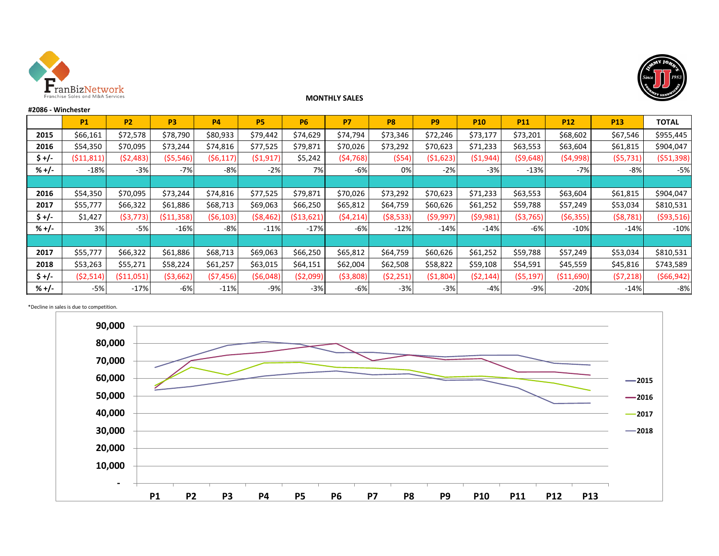



#### **#2086 - Winchester**

**MONTHLY SALES** 

|         | <b>P1</b>  | <b>P2</b>  | P <sub>3</sub> | <b>P4</b>  | <b>P5</b> | <b>P6</b>  | <b>P7</b>  | P <sub>8</sub> | P <sub>9</sub> | <b>P10</b> | <b>P11</b> | <b>P12</b> | P <sub>13</sub> | <b>TOTAL</b> |
|---------|------------|------------|----------------|------------|-----------|------------|------------|----------------|----------------|------------|------------|------------|-----------------|--------------|
| 2015    | \$66,161   | \$72,578   | \$78,790       | \$80,933   | \$79,442  | \$74,629   | \$74,794   | \$73,346       | \$72,246       | \$73,177   | \$73,201   | \$68,602   | \$67,546        | \$955,445    |
| 2016    | \$54,350   | \$70,095   | \$73,244       | \$74,816   | \$77,525  | \$79,871   | \$70,026   | \$73,292       | \$70,623       | \$71,233   | \$63,553   | \$63,604   | \$61,815        | \$904,047    |
| \$ +/-  | (511, 811) | ( \$2,483) | ( \$5,546)     | (56, 117)  | (51, 917) | \$5,242    | (54, 768)  | (554)          | (\$1,623)      | (51, 944)  | (59, 648)  | (54,998)   | (55, 731)       | ( \$51,398]  |
| %+/-    | $-18%$     | $-3%$      | $-7%$          | -8%        | $-2%$     | 7%         | -6%        | 0%             | $-2%$          | $-3%$      | $-13%$     | $-7%$      | $-8%$           | $-5%$        |
|         |            |            |                |            |           |            |            |                |                |            |            |            |                 |              |
| 2016    | \$54,350   | \$70,095   | \$73,244       | \$74,816   | \$77,525  | \$79,871   | \$70,026   | \$73,292       | \$70,623       | \$71,233   | \$63,553   | \$63,604   | \$61,815        | \$904,047    |
| 2017    | \$55,777   | \$66,322   | \$61,886       | \$68,713   | \$69,063  | \$66,250   | \$65,812   | \$64,759       | \$60,626       | \$61,252   | \$59,788   | \$57,249   | \$53,034        | \$810,531    |
| \$ +/-  | \$1,427    | ( \$3,773) | (511, 358)     | ( \$6,103) | (\$8,462  | (513, 621) | (\$4,214)  | ( \$8,533)     | ( \$9,997)     | (59,981)   | ( \$3,765) | (56, 355)  | ( \$8,781)      | ( \$93,516)  |
| $% +/-$ | 3%         | $-5%$      | $-16%$         | $-8%$      | $-11%$    | $-17%$     | -6%        | $-12%$         | $-14%$         | $-14%$     | -6%        | $-10%$     | $-14%$          | $-10%$       |
|         |            |            |                |            |           |            |            |                |                |            |            |            |                 |              |
| 2017    | \$55,777   | \$66,322   | \$61,886       | \$68,713   | \$69,063  | \$66,250   | \$65,812   | \$64,759       | \$60,626       | \$61,252   | \$59,788   | \$57,249   | \$53,034        | \$810,531    |
| 2018    | \$53,263   | \$55,271   | \$58,224       | \$61,257   | \$63,015  | \$64,151   | \$62,004   | \$62,508       | \$58,822       | \$59,108   | \$54,591   | \$45,559   | \$45,816        | \$743,589    |
| \$ +/-  | (52, 514)  | (511,051)  | ( \$3,662)     | (57, 456)  | (56,048)  | (52,099)   | ( \$3,808) | (52, 251)      | ( \$1,804)     | (52, 144)  | (55, 197)  | (511,690)  | (57,218)        | ( \$66, 942] |
| % +/-   | $-5%$      | $-17%$     | $-6%$          | $-11%$     | $-9%$     | $-3%$      | -6%        | $-3%$          | $-3%$          | $-4%$      | $-9%$      | $-20%$     | $-14%$          | $-8%$        |



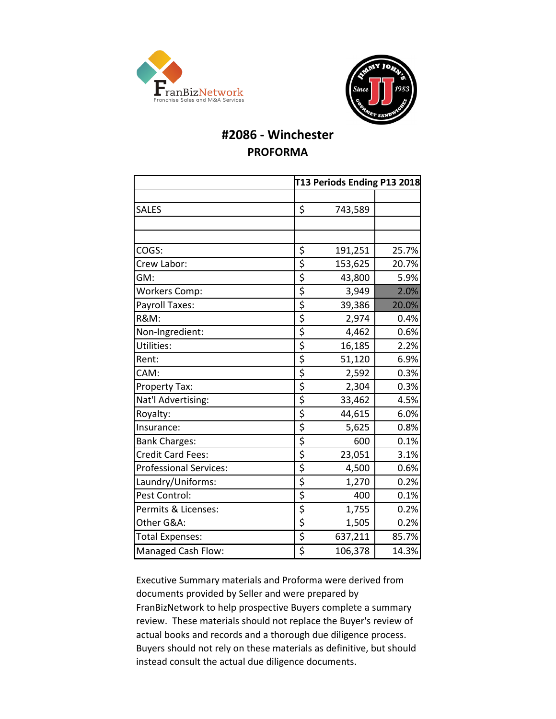



## **#2086 - Winchester PROFORMA**

|                               |                                 | T13 Periods Ending P13 2018 |       |  |  |
|-------------------------------|---------------------------------|-----------------------------|-------|--|--|
|                               |                                 |                             |       |  |  |
| <b>SALES</b>                  | \$                              | 743,589                     |       |  |  |
|                               |                                 |                             |       |  |  |
|                               |                                 |                             |       |  |  |
| COGS:                         | \$                              | 191,251                     | 25.7% |  |  |
| Crew Labor:                   | \$                              | 153,625                     | 20.7% |  |  |
| GM:                           | \$                              | 43,800                      | 5.9%  |  |  |
| <b>Workers Comp:</b>          | \$                              | 3,949                       | 2.0%  |  |  |
| Payroll Taxes:                | \$                              | 39,386                      | 20.0% |  |  |
| <b>R&amp;M:</b>               | \$                              | 2,974                       | 0.4%  |  |  |
| Non-Ingredient:               | \$                              | 4,462                       | 0.6%  |  |  |
| Utilities:                    | \$                              | 16,185                      | 2.2%  |  |  |
| Rent:                         | \$                              | 51,120                      | 6.9%  |  |  |
| CAM:                          | \$                              | 2,592                       | 0.3%  |  |  |
| Property Tax:                 | \$                              | 2,304                       | 0.3%  |  |  |
| Nat'l Advertising:            | \$                              | 33,462                      | 4.5%  |  |  |
| Royalty:                      | $\overline{\varsigma}$          | 44,615                      | 6.0%  |  |  |
| Insurance:                    | \$                              | 5,625                       | 0.8%  |  |  |
| <b>Bank Charges:</b>          | $\overline{\boldsymbol{\zeta}}$ | 600                         | 0.1%  |  |  |
| <b>Credit Card Fees:</b>      | \$                              | 23,051                      | 3.1%  |  |  |
| <b>Professional Services:</b> | $\overline{\boldsymbol{\zeta}}$ | 4,500                       | 0.6%  |  |  |
| Laundry/Uniforms:             | \$                              | 1,270                       | 0.2%  |  |  |
| Pest Control:                 | \$                              | 400                         | 0.1%  |  |  |
| Permits & Licenses:           | $\overline{\boldsymbol{\zeta}}$ | 1,755                       | 0.2%  |  |  |
| Other G&A:                    | \$                              | 1,505                       | 0.2%  |  |  |
| <b>Total Expenses:</b>        | \$                              | 637,211                     | 85.7% |  |  |
| Managed Cash Flow:            | \$                              | 106,378                     | 14.3% |  |  |

Executive Summary materials and Proforma were derived from documents provided by Seller and were prepared by FranBizNetwork to help prospective Buyers complete a summary review. These materials should not replace the Buyer's review of actual books and records and a thorough due diligence process. Buyers should not rely on these materials as definitive, but should instead consult the actual due diligence documents.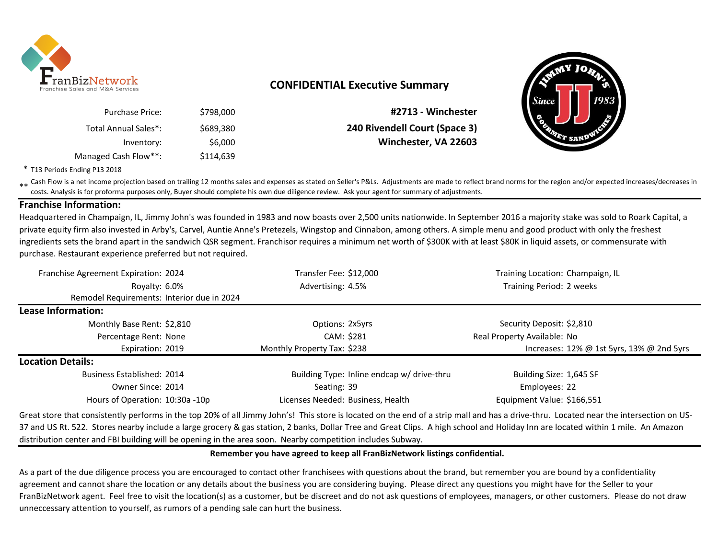

### **CONFIDENTIAL Executive Summary**

| #2713 - Winchester            | \$798,000 | <b>Purchase Price:</b> |
|-------------------------------|-----------|------------------------|
| 240 Rivendell Court (Space 3) | \$689.380 | Total Annual Sales*:   |
| Winchester, VA 22603          | \$6,000   | Inventory:             |
|                               | \$114,639 | Managed Cash Flow**:   |



\* T13 Periods Ending P13 2018

\*\* Cash Flow is a net income projection based on trailing 12 months sales and expenses as stated on Seller's P&Ls. Adjustments are made to reflect brand norms for the region and/or expected increases/decreases in<br>Costs, An costs. Analysis is for proforma purposes only, Buyer should complete his own due diligence review. Ask your agent for summary of adjustments.

### **Franchise Information:**

Headquartered in Champaign, IL, Jimmy John's was founded in 1983 and now boasts over 2,500 units nationwide. In September 2016 a majority stake was sold to Roark Capital, a private equity firm also invested in Arby's, Carvel, Auntie Anne's Pretezels, Wingstop and Cinnabon, among others. A simple menu and good product with only the freshest ingredients sets the brand apart in the sandwich QSR segment. Franchisor requires a minimum net worth of \$300K with at least \$80K in liquid assets, or commensurate with purchase. Restaurant experience preferred but not required.

| Franchise Agreement Expiration: 2024       | Transfer Fee: \$12,000            |                                            | Training Location: Champaign, IL                |  |  |
|--------------------------------------------|-----------------------------------|--------------------------------------------|-------------------------------------------------|--|--|
| Royalty: 6.0%                              | Advertising: 4.5%                 |                                            | Training Period: 2 weeks                        |  |  |
| Remodel Requirements: Interior due in 2024 |                                   |                                            |                                                 |  |  |
| Lease Information:                         |                                   |                                            |                                                 |  |  |
| Monthly Base Rent: \$2,810                 | Options: 2x5yrs                   |                                            | Security Deposit: \$2,810                       |  |  |
| Percentage Rent: None                      | CAM: \$281                        |                                            | Real Property Available: No                     |  |  |
| Expiration: 2019                           | Monthly Property Tax: \$238       |                                            | Increases: $12\%$ @ 1st 5yrs, $13\%$ @ 2nd 5yrs |  |  |
| <b>Location Details:</b>                   |                                   |                                            |                                                 |  |  |
| <b>Business Established: 2014</b>          |                                   | Building Type: Inline endcap w/ drive-thru | Building Size: 1,645 SF                         |  |  |
| Owner Since: 2014                          | Seating: 39                       |                                            | Employees: 22                                   |  |  |
| Hours of Operation: 10:30a -10p            | Licenses Needed: Business, Health |                                            | Equipment Value: \$166,551                      |  |  |

Great store that consistently performs in the top 20% of all Jimmy John's! This store is located on the end of a strip mall and has a drive-thru. Located near the intersection on US-37 and US Rt. 522. Stores nearby include a large grocery & gas station, 2 banks, Dollar Tree and Great Clips. A high school and Holiday Inn are located within 1 mile. An Amazon distribution center and FBI building will be opening in the area soon. Nearby competition includes Subway.

#### **Remember you have agreed to keep all FranBizNetwork listings confidential.**

As a part of the due diligence process you are encouraged to contact other franchisees with questions about the brand, but remember you are bound by a confidentiality agreement and cannot share the location or any details about the business you are considering buying. Please direct any questions you might have for the Seller to your FranBizNetwork agent. Feel free to visit the location(s) as a customer, but be discreet and do not ask questions of employees, managers, or other customers. Please do not draw unneccessary attention to yourself, as rumors of a pending sale can hurt the business.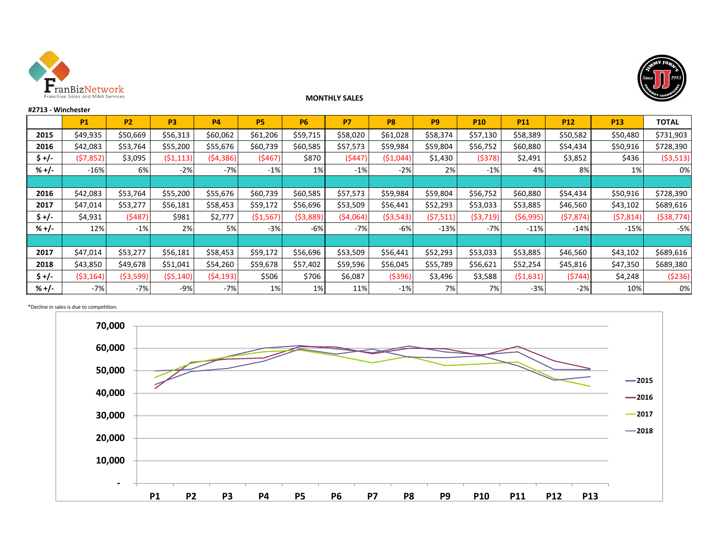



#### **#2713 - Winchester**

### **P1 P2 P3 P4 P5 P6 P7 P8 P9 P10 P11 P12 P13 TOTAL 2015** | \$49,935 | \$50,669 | \$56,313 | \$60,062 | \$61,206 | \$59,715 | \$58,020 | \$61,028 | \$58,374 | \$57,130 | \$58,389 | \$50,582 | \$50,480 | \$731,903 **2016** | \$42,083 | \$53,764 | \$55,200 | \$55,676 | \$60,739 | \$60,585 | \$57,573 | \$59,984 | \$58,752 | \$60,880 | \$54,434 | \$50,916 | \$728,390 **\$ +/-** (\$7,852) \$3,095 (\$1,113) (\$4,386) (\$467) \$870 (\$447) (\$1,044) \$1,430 (\$378) \$2,491 \$3,852 \$436 (\$3,513) **% +/-** -16% 6% -2% -7% -1% 1% -1% -2% 2% -1% 4% 8% 1% 0% **2016** | \$42,083 | \$53,764 | \$55,200 | \$55,676 | \$60,739 | \$60,585 | \$57,573 | \$59,984 | \$58,752 | \$60,880 | \$54,434 | \$50,916 | \$728,390 **2017** | \$47,014 | \$53,277 | \$56,181 | \$58,453 | \$59,172 | \$56,696 | \$53,509 | \$56,441 | \$52,293 | \$53,033 | \$53,885 | \$46,560 | \$43,102 | \$689,616 **\$ +/-** \$4,931 (\$487) \$981 \$2,777 (\$1,567) (\$3,889) (\$4,064) (\$3,543) (\$7,511) (\$3,719) (\$6,995) (\$7,874) (\$7,814) (\$38,774) **% +/-** 12% -1% 2% 5% -3% -6% -7% -6% -13% -7% -11% -14% -15% -5% **2017** | \$47,014 | \$53,277 | \$56,181 | \$58,453 | \$59,172 | \$56,696 | \$53,509 | \$56,441 | \$52,293 | \$53,033 | \$53,885 | \$46,560 | \$43,102 | \$689,616 **2018** \$43,850 \$49,678 \$51,041 \$54,260 \$59,678 \$57,402 \$59,596 \$56,045 \$55,789 \$56,621 \$52,254 \$45,816 \$47,350 \$689,380 **\$ +/-** (\$3,164) (\$3,599) (\$5,140) (\$4,193) \$506 \$706 \$6,087 (\$396) \$3,496 \$3,588 (\$1,631) (\$744) \$4,248 (\$236) **% +/-** -7% -7% -9% -7% 1% 1% 11% -1% 7% 7% -3% -2% 10% 0%

**MONTHLY SALES** 

#### \*Decline in sales is due to competition.